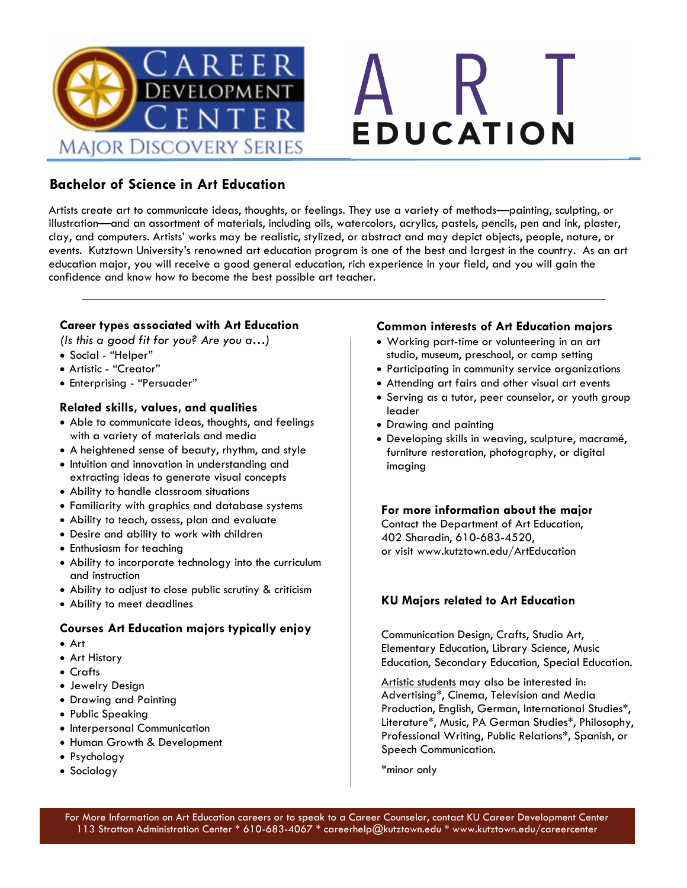



### **Bachelor of Science in Art Education**

Artists create art to communicate ideas, thoughts, or feelings. They use a variety of methods—painting, sculpting, or illustration—and an assortment of materials, including oils, watercolors, acrylics, pastels, pencils, pen and ink, plaster, clay, and computers. Artists' works may be realistic, stylized, or abstract and may depict objects, people, nature, or events. Kutztown University's renowned art education program is one of the best and largest in the country. As an art education major, you will receive a good general education, rich experience in your field, and you will gain the confidence and know how to become the best possible art teacher.

### **Career types associated with Art Education**

*(Is this a good fit for you? Are you a…)*

- Social "Helper"
- Artistic "Creator"
- Enterprising "Persuader"

### **Related skills, values, and qualities**

- Able to communicate ideas, thoughts, and feelings with a variety of materials and media
- A heightened sense of beauty, rhythm, and style
- Intuition and innovation in understanding and extracting ideas to generate visual concepts
- Ability to handle classroom situations
- Familiarity with graphics and database systems
- Ability to teach, assess, plan and evaluate
- Desire and ability to work with children
- Enthusiasm for teaching
- Ability to incorporate technology into the curriculum and instruction
- Ability to adjust to close public scrutiny & criticism
- Ability to meet deadlines

### **Courses Art Education majors typically enjoy**

- Art
- Art History
- Crafts
- Jewelry Design
- Drawing and Painting
- Public Speaking
- Interpersonal Communication
- Human Growth & Development
- Psychology
- Sociology

### **Common interests of Art Education majors**

- Working part-time or volunteering in an art studio, museum, preschool, or camp setting
- Participating in community service organizations
- Attending art fairs and other visual art events
- Serving as a tutor, peer counselor, or youth group leader
- Drawing and painting
- Developing skills in weaving, sculpture, macramé, furniture restoration, photography, or digital imaging

**For more information about the major** Contact the Department of Art Education, 402 Sharadin, 610-683-4520, or visit www.kutztown.edu/ArtEducation

### **KU Majors related to Art Education**

Communication Design, Crafts, Studio Art, Elementary Education, Library Science, Music Education, Secondary Education, Special Education.

Artistic students may also be interested in: Advertising\*, Cinema, Television and Media Production, English, German, International Studies\*, Literature\*, Music, PA German Studies\*, Philosophy, Professional Writing, Public Relations\*, Spanish, or Speech Communication.

\*minor only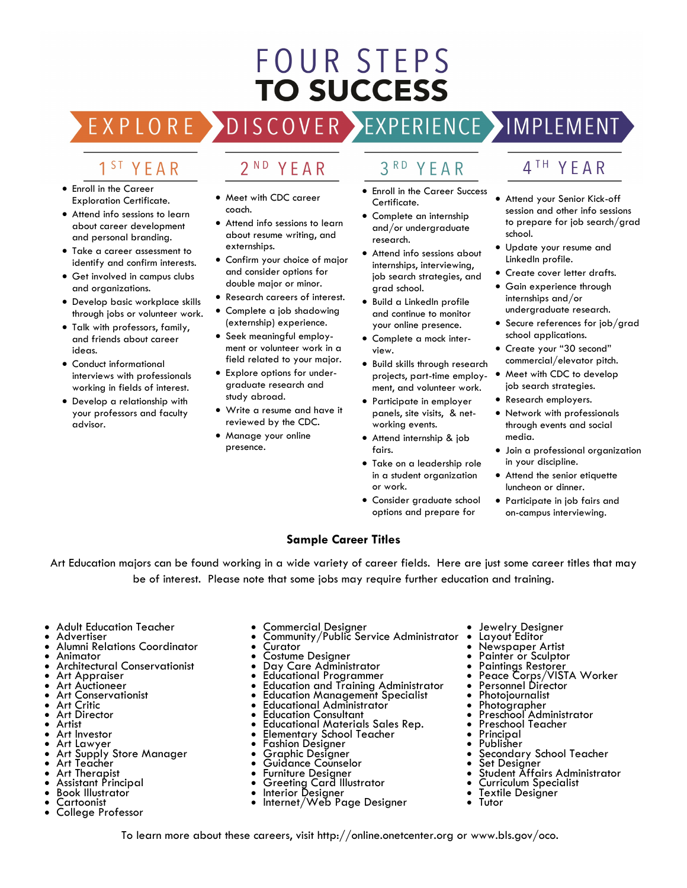# **FOUR STEPS TO SUCCESS**

#### OVER > EXPERIENCE >IMPLEMENT EXPLORE DISC

## 1 <sup>ST</sup> YEAR

- Enroll in the Career Exploration Certificate.
- Attend info sessions to learn about career development and personal branding.
- Take a career assessment to identify and confirm interests.
- Get involved in campus clubs and organizations.
- Develop basic workplace skills through jobs or volunteer work.
- Talk with professors, family, and friends about career ideas.
- Conduct informational interviews with professionals working in fields of interest.
- Develop a relationship with your professors and faculty advisor.

#### $2<sup>ND</sup>$ YEAR

- Meet with CDC career coach.
- Attend info sessions to learn about resume writing, and externships.
- Confirm your choice of major and consider options for double major or minor.
- Research careers of interest.
- Complete a job shadowing (externship) experience.
- Seek meaningful employment or volunteer work in a field related to your major.
- Explore options for undergraduate research and study abroad.
- Write a resume and have it reviewed by the CDC.
- Manage your online presence.

# 3RD YFAR

- Enroll in the Career Success Certificate.
- Complete an internship and/or undergraduate research.
- Attend info sessions about internships, interviewing, job search strategies, and grad school.
- Build a LinkedIn profile and continue to monitor your online presence.
- Complete a mock interview.
- Build skills through research projects, part-time employment, and volunteer work.
- Participate in employer panels, site visits, & networking events.
- Attend internship & job fairs.
- Take on a leadership role in a student organization or work.
- Consider graduate school options and prepare for

### 4<sup>TH</sup> YEAR

- Attend your Senior Kick-off session and other info sessions to prepare for job search/grad school.
- Update your resume and LinkedIn profile.
- Create cover letter drafts.
- Gain experience through internships and/or undergraduate research.
- Secure references for job/grad school applications.
- Create your "30 second" commercial/elevator pitch.
- Meet with CDC to develop job search strategies.
- Research employers.
- Network with professionals through events and social media.
- Join a professional organization in your discipline.
- Attend the senior etiquette luncheon or dinner.
- Participate in job fairs and on-campus interviewing.

### **Sample Career Titles**

Art Education majors can be found working in a wide variety of career fields. Here are just some career titles that may be of interest. Please note that some jobs may require further education and training.

- Adult Education Teacher
- **Advertiser**
- Alumni Relations Coordinator
- Animator
- Architectural Conservationist
- Art Appraiser
- Art Auctioneer • Art Conservationist
- Art Critic
- Art Director
- Artist
- Art Investor
- Art Lawyer
- Art Supply Store Manager
- Art Teacher • Art Therapist
- Assistant Principal
- Book Illustrator
- Cartoonist
- College Professor
- Commercial Designer
- Community/Public Service Administrator
- **Curator**
- Costume Designer
- Day Care Administrator
- Educational Programmer
- Education and Training Administrator **Education Management Specialist**
- Educational Administrator
- Education Consultant
- Educational Materials Sales Rep.
- Elementary School Teacher
- Fashion Designer
- Graphic Designer
- Guidance Counselor
- Furniture Designer
- Greeting Card Illustrator<br>• Interior Designer
- Interior Designer
- Internet/Web Page Designer

To learn more about these careers, visit http://online.onetcenter.org or www.bls.gov/oco.

- Jewelry Designer<br>• Layout Editor
- Layout Editor
- Newspaper Artist
- Painter or Sculptor
- Paintings Restorer
- Peace Corps/VISTA Worker
- Personnel Director
- **Photojournalist**
- Photographer
- Preschool Administrator
- Preschool Teacher
- **Principal**
- Publisher

• Tutor

- Secondary School Teacher
- Set Designer
- Student Affairs Administrator
- Curriculum Specialist Textile Designer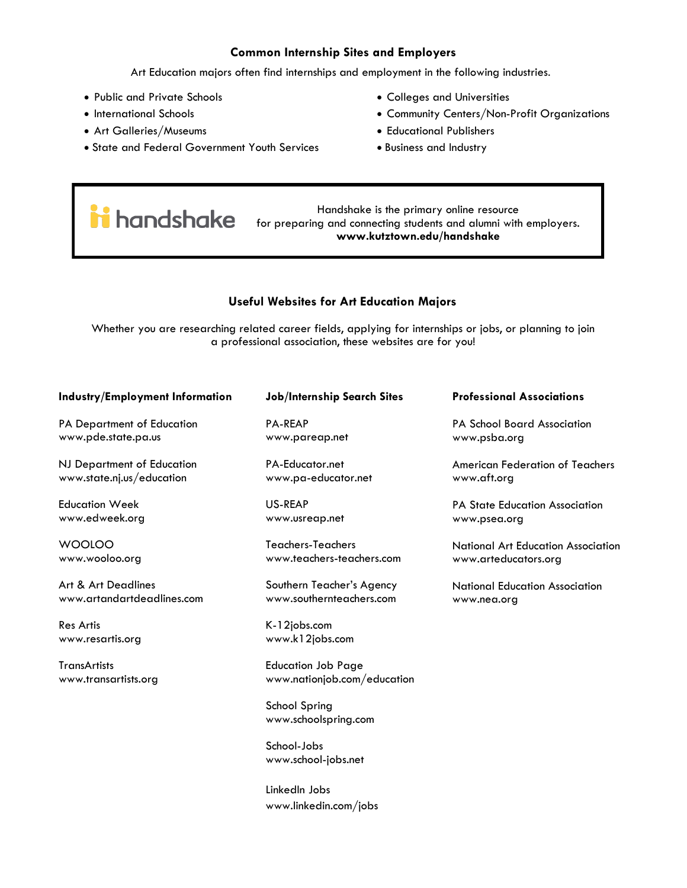### **Common Internship Sites and Employers**

Art Education majors often find internships and employment in the following industries.

- Public and Private Schools
- International Schools
- Art Galleries/Museums
- State and Federal Government Youth Services
- Colleges and Universities
- Community Centers/Non-Profit Organizations
- Educational Publishers
- Business and Industry

# **in** handshake

Handshake is the primary online resource for preparing and connecting students and alumni with employers. **www.kutztown.edu/handshake**

### **Useful Websites for Art Education Majors**

Whether you are researching related career fields, applying for internships or jobs, or planning to join a professional association, these websites are for you!

#### **Industry/Employment Information** PA Department of Education www.pde.state.pa.us NJ Department of Education www.state.nj.us/education Education Week www.edweek.org WOOLOO www.wooloo.org Art & Art Deadlines **Job/Internship Search Sites** PA-REAP www.pareap.net PA-Educator.net www.pa-educator.net US-REAP www.usreap.net Teachers-Teachers www.teachers-teachers.com Southern Teacher's Agency **Professional Associations** PA School Board Association www.psba.org American Federation of Teachers www.aft.org PA State Education Association www.psea.org www.arteducators.org

www.artandartdeadlines.com

Res Artis www.resartis.org

**TransArtists** www.transartists.org Education Job Page www.nationjob.com/education

www.southernteachers.com

School Spring www.schoolspring.com

K-12jobs.com www.k12jobs.com

School-Jobs www.school-jobs.net

LinkedIn Jobs www.linkedin.com/jobs National Art Education Association

National Education Association www.nea.org